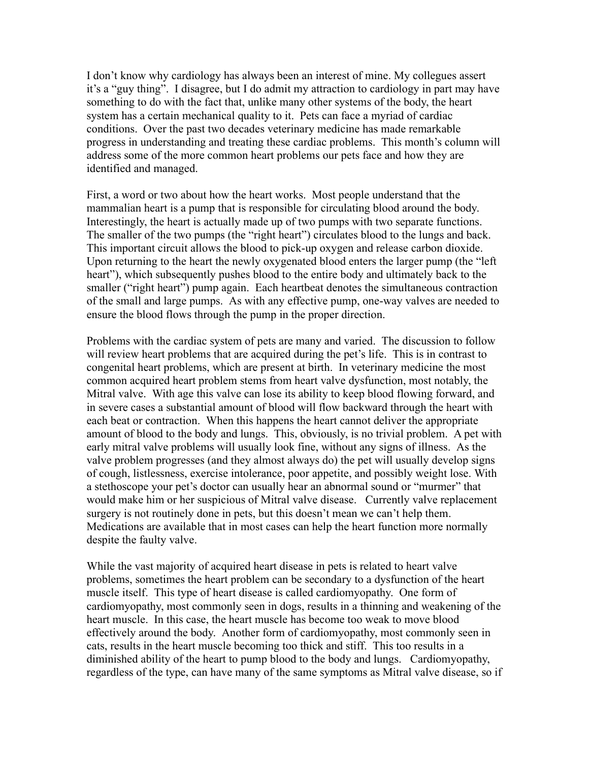I don't know why cardiology has always been an interest of mine. My collegues assert it's a "guy thing". I disagree, but I do admit my attraction to cardiology in part may have something to do with the fact that, unlike many other systems of the body, the heart system has a certain mechanical quality to it. Pets can face a myriad of cardiac conditions. Over the past two decades veterinary medicine has made remarkable progress in understanding and treating these cardiac problems. This month's column will address some of the more common heart problems our pets face and how they are identified and managed.

First, a word or two about how the heart works. Most people understand that the mammalian heart is a pump that is responsible for circulating blood around the body. Interestingly, the heart is actually made up of two pumps with two separate functions. The smaller of the two pumps (the "right heart") circulates blood to the lungs and back. This important circuit allows the blood to pick-up oxygen and release carbon dioxide. Upon returning to the heart the newly oxygenated blood enters the larger pump (the "left heart"), which subsequently pushes blood to the entire body and ultimately back to the smaller ("right heart") pump again. Each heartbeat denotes the simultaneous contraction of the small and large pumps. As with any effective pump, one-way valves are needed to ensure the blood flows through the pump in the proper direction.

Problems with the cardiac system of pets are many and varied. The discussion to follow will review heart problems that are acquired during the pet's life. This is in contrast to congenital heart problems, which are present at birth. In veterinary medicine the most common acquired heart problem stems from heart valve dysfunction, most notably, the Mitral valve. With age this valve can lose its ability to keep blood flowing forward, and in severe cases a substantial amount of blood will flow backward through the heart with each beat or contraction. When this happens the heart cannot deliver the appropriate amount of blood to the body and lungs. This, obviously, is no trivial problem. A pet with early mitral valve problems will usually look fine, without any signs of illness. As the valve problem progresses (and they almost always do) the pet will usually develop signs of cough, listlessness, exercise intolerance, poor appetite, and possibly weight lose. With a stethoscope your pet's doctor can usually hear an abnormal sound or "murmer" that would make him or her suspicious of Mitral valve disease. Currently valve replacement surgery is not routinely done in pets, but this doesn't mean we can't help them. Medications are available that in most cases can help the heart function more normally despite the faulty valve.

While the vast majority of acquired heart disease in pets is related to heart valve problems, sometimes the heart problem can be secondary to a dysfunction of the heart muscle itself. This type of heart disease is called cardiomyopathy. One form of cardiomyopathy, most commonly seen in dogs, results in a thinning and weakening of the heart muscle. In this case, the heart muscle has become too weak to move blood effectively around the body. Another form of cardiomyopathy, most commonly seen in cats, results in the heart muscle becoming too thick and stiff. This too results in a diminished ability of the heart to pump blood to the body and lungs. Cardiomyopathy, regardless of the type, can have many of the same symptoms as Mitral valve disease, so if